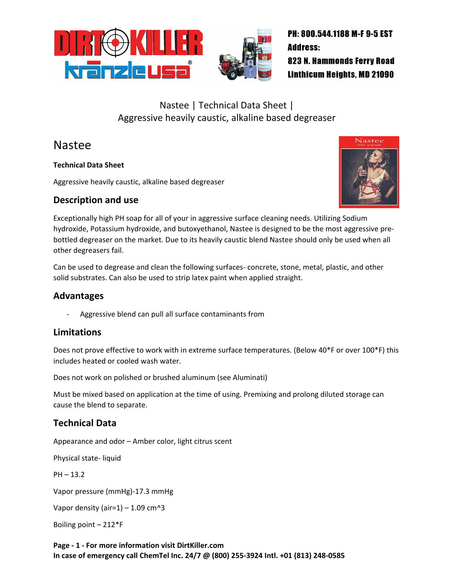

# Nastee | Technical Data Sheet | Aggressive heavily caustic, alkaline based degreaser

# Nastee

**Technical Data Sheet**

Aggressive heavily caustic, alkaline based degreaser

### **Description and use**



Exceptionally high PH soap for all of your in aggressive surface cleaning needs. Utilizing Sodium hydroxide, Potassium hydroxide, and butoxyethanol, Nastee is designed to be the most aggressive prebottled degreaser on the market. Due to its heavily caustic blend Nastee should only be used when all other degreasers fail.

Can be used to degrease and clean the following surfaces- concrete, stone, metal, plastic, and other solid substrates. Can also be used to strip latex paint when applied straight.

### **Advantages**

Aggressive blend can pull all surface contaminants from

## **Limitations**

Does not prove effective to work with in extreme surface temperatures. (Below 40\*F or over 100\*F) this includes heated or cooled wash water.

Does not work on polished or brushed aluminum (see Aluminati)

Must be mixed based on application at the time of using. Premixing and prolong diluted storage can cause the blend to separate.

## **Technical Data**

Appearance and odor – Amber color, light citrus scent

Physical state- liquid

 $PH - 13.2$ 

Vapor pressure (mmHg)-17.3 mmHg

Vapor density (air=1) – 1.09 cm^3

Boiling point – 212\*F

**Page - 1 - For more information visit DirtKiller.com In case of emergency call ChemTel Inc. 24/7 @ (800) 255-3924 Intl. +01 (813) 248-0585**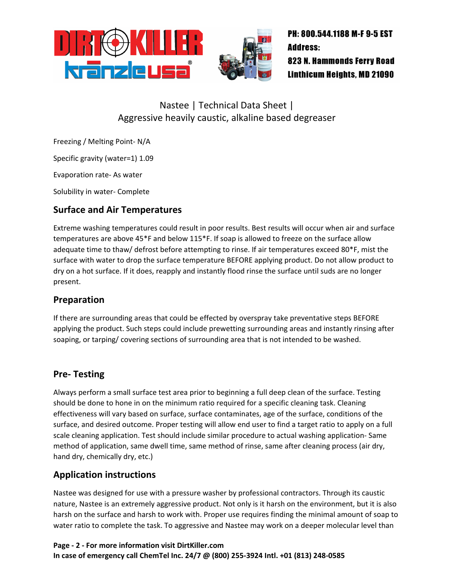

# Nastee | Technical Data Sheet | Aggressive heavily caustic, alkaline based degreaser

Freezing / Melting Point- N/A

Specific gravity (water=1) 1.09

Evaporation rate- As water

Solubility in water- Complete

## **Surface and Air Temperatures**

Extreme washing temperatures could result in poor results. Best results will occur when air and surface temperatures are above 45\*F and below 115\*F. If soap is allowed to freeze on the surface allow adequate time to thaw/ defrost before attempting to rinse. If air temperatures exceed 80\*F, mist the surface with water to drop the surface temperature BEFORE applying product. Do not allow product to dry on a hot surface. If it does, reapply and instantly flood rinse the surface until suds are no longer present.

## **Preparation**

If there are surrounding areas that could be effected by overspray take preventative steps BEFORE applying the product. Such steps could include prewetting surrounding areas and instantly rinsing after soaping, or tarping/ covering sections of surrounding area that is not intended to be washed.

#### **Pre- Testing**

Always perform a small surface test area prior to beginning a full deep clean of the surface. Testing should be done to hone in on the minimum ratio required for a specific cleaning task. Cleaning effectiveness will vary based on surface, surface contaminates, age of the surface, conditions of the surface, and desired outcome. Proper testing will allow end user to find a target ratio to apply on a full scale cleaning application. Test should include similar procedure to actual washing application- Same method of application, same dwell time, same method of rinse, same after cleaning process (air dry, hand dry, chemically dry, etc.)

#### **Application instructions**

Nastee was designed for use with a pressure washer by professional contractors. Through its caustic nature, Nastee is an extremely aggressive product. Not only is it harsh on the environment, but it is also harsh on the surface and harsh to work with. Proper use requires finding the minimal amount of soap to water ratio to complete the task. To aggressive and Nastee may work on a deeper molecular level than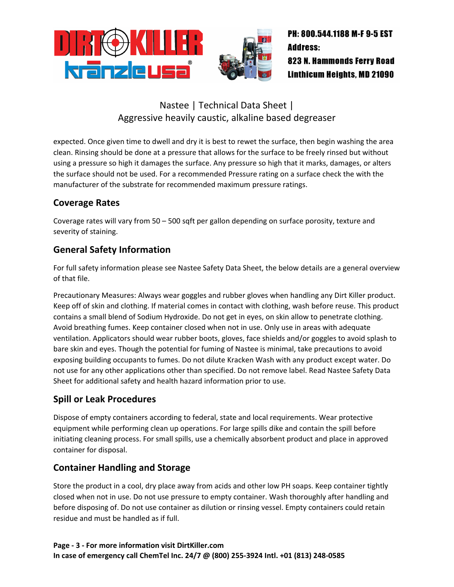

## Nastee | Technical Data Sheet | Aggressive heavily caustic, alkaline based degreaser

expected. Once given time to dwell and dry it is best to rewet the surface, then begin washing the area clean. Rinsing should be done at a pressure that allows for the surface to be freely rinsed but without using a pressure so high it damages the surface. Any pressure so high that it marks, damages, or alters the surface should not be used. For a recommended Pressure rating on a surface check the with the manufacturer of the substrate for recommended maximum pressure ratings.

## **Coverage Rates**

Coverage rates will vary from 50 – 500 sqft per gallon depending on surface porosity, texture and severity of staining.

## **General Safety Information**

For full safety information please see Nastee Safety Data Sheet, the below details are a general overview of that file.

Precautionary Measures: Always wear goggles and rubber gloves when handling any Dirt Killer product. Keep off of skin and clothing. If material comes in contact with clothing, wash before reuse. This product contains a small blend of Sodium Hydroxide. Do not get in eyes, on skin allow to penetrate clothing. Avoid breathing fumes. Keep container closed when not in use. Only use in areas with adequate ventilation. Applicators should wear rubber boots, gloves, face shields and/or goggles to avoid splash to bare skin and eyes. Though the potential for fuming of Nastee is minimal, take precautions to avoid exposing building occupants to fumes. Do not dilute Kracken Wash with any product except water. Do not use for any other applications other than specified. Do not remove label. Read Nastee Safety Data Sheet for additional safety and health hazard information prior to use.

## **Spill or Leak Procedures**

Dispose of empty containers according to federal, state and local requirements. Wear protective equipment while performing clean up operations. For large spills dike and contain the spill before initiating cleaning process. For small spills, use a chemically absorbent product and place in approved container for disposal.

## **Container Handling and Storage**

Store the product in a cool, dry place away from acids and other low PH soaps. Keep container tightly closed when not in use. Do not use pressure to empty container. Wash thoroughly after handling and before disposing of. Do not use container as dilution or rinsing vessel. Empty containers could retain residue and must be handled as if full.